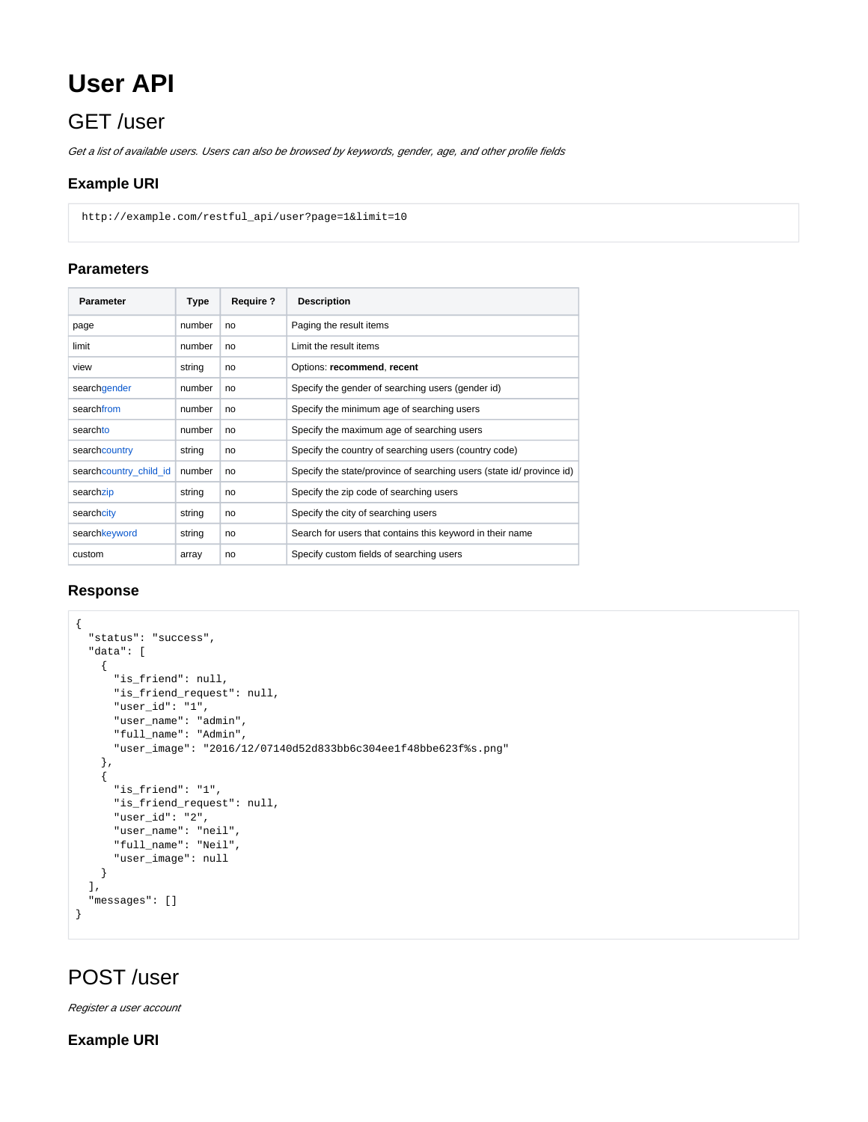# **User API**

# GET /user

Get a list of available users. Users can also be browsed by keywords, gender, age, and other profile fields

## **Example URI**

http://example.com/restful\_api/user?page=1&limit=10

## **Parameters**

| <b>Parameter</b>       | Type   | <b>Require?</b> | <b>Description</b>                                                    |
|------------------------|--------|-----------------|-----------------------------------------------------------------------|
| page                   | number | no              | Paging the result items                                               |
| limit                  | number | no              | Limit the result items                                                |
| view                   | string | no              | Options: recommend, recent                                            |
| searchgender           | number | no              | Specify the gender of searching users (gender id)                     |
| searchfrom             | number | no              | Specify the minimum age of searching users                            |
| searchto               | number | no              | Specify the maximum age of searching users                            |
| searchcountry          | string | no              | Specify the country of searching users (country code)                 |
| searchcountry_child_id | number | no              | Specify the state/province of searching users (state id/ province id) |
| searchzip              | string | no              | Specify the zip code of searching users                               |
| searchcity             | string | no              | Specify the city of searching users                                   |
| searchkeyword          | string | no              | Search for users that contains this keyword in their name             |
| custom                 | array  | no              | Specify custom fields of searching users                              |

#### **Response**

```
{
   "status": "success",
   "data": [
    {
      "is_friend": null,
      "is_friend_request": null,
      "user_id": "1",
      "user_name": "admin",
      "full_name": "Admin",
       "user_image": "2016/12/07140d52d833bb6c304ee1f48bbe623f%s.png"
    },
    {
       "is_friend": "1",
      "is_friend_request": null,
      "user_id": "2",
      "user_name": "neil",
       "full_name": "Neil",
       "user_image": null
    }
  ],
  "messages": []
}
```
# POST /user

Register a user account

**Example URI**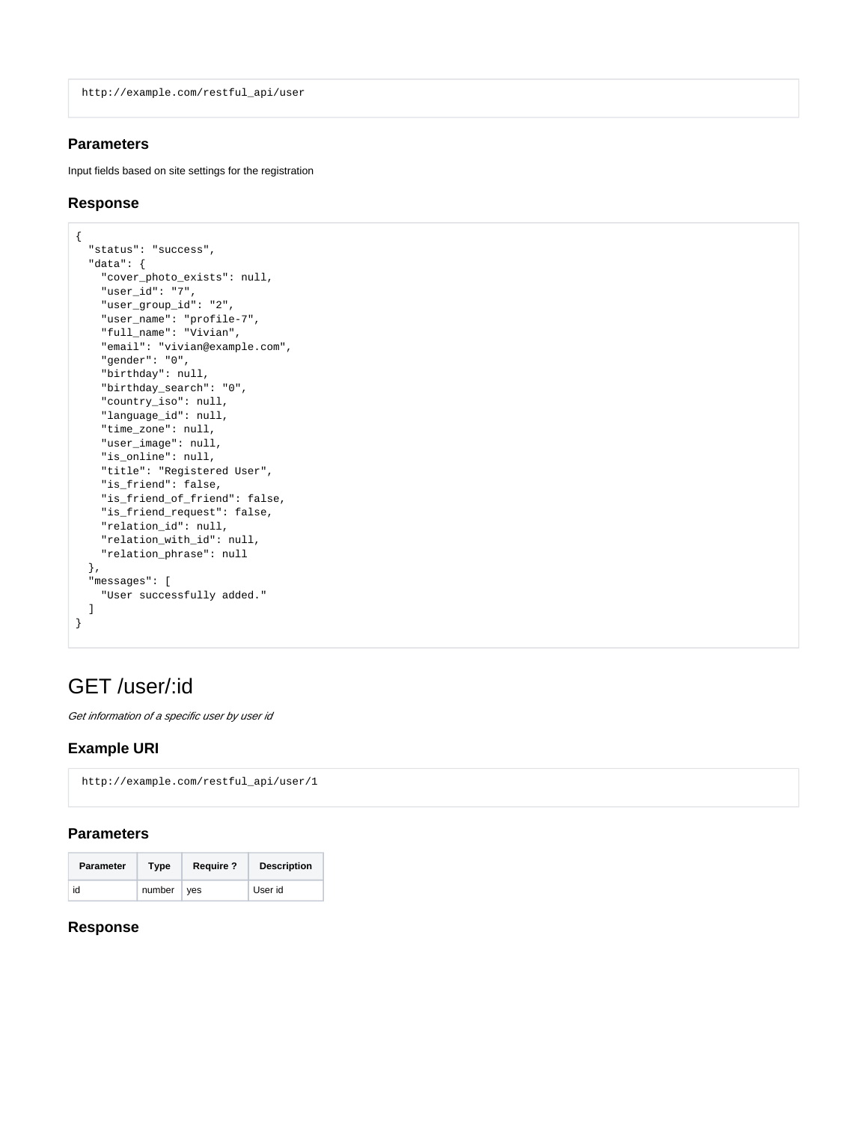http://example.com/restful\_api/user

### **Parameters**

Input fields based on site settings for the registration

### **Response**

```
{
   "status": "success",
   "data": {
     "cover_photo_exists": null,
    "user_id": "7",
    "user_group_id": "2",
    "user_name": "profile-7",
    "full_name": "Vivian",
    "email": "vivian@example.com",
     "gender": "0",
     "birthday": null,
     "birthday_search": "0",
     "country_iso": null,
     "language_id": null,
     "time_zone": null,
     "user_image": null,
     "is_online": null,
     "title": "Registered User",
     "is_friend": false,
     "is_friend_of_friend": false,
     "is_friend_request": false,
     "relation_id": null,
     "relation_with_id": null,
     "relation_phrase": null
  },
   "messages": [
     "User successfully added."
  \, \, \,}
```
# GET /user/:id

Get information of a specific user by user id

### **Example URI**

http://example.com/restful\_api/user/1

#### **Parameters**

| <b>Parameter</b> | Type       | <b>Require ?</b> | <b>Description</b> |
|------------------|------------|------------------|--------------------|
| id               | number ves |                  | User id            |

### **Response**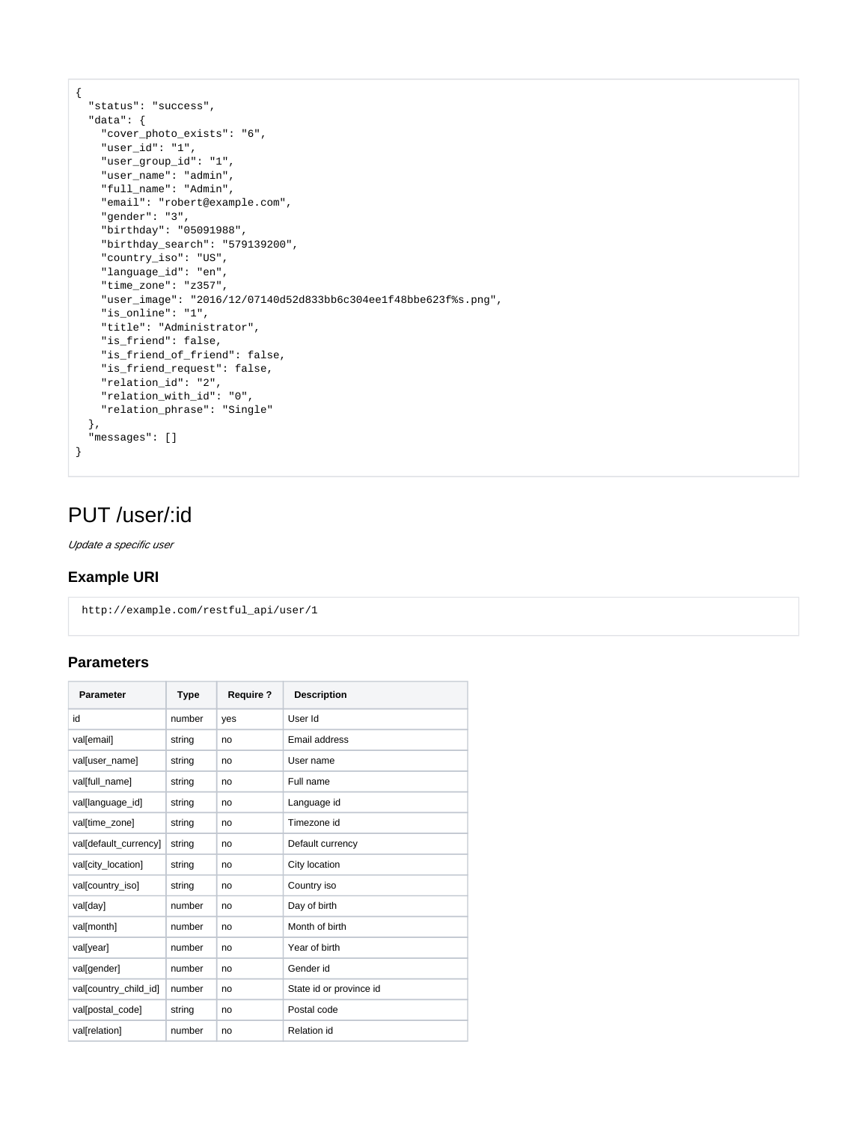```
{
  "status": "success",
  "data": {
    "cover_photo_exists": "6",
    "user_id": "1",
    "user_group_id": "1",
    "user_name": "admin",
    "full_name": "Admin",
     "email": "robert@example.com",
     "gender": "3",
     "birthday": "05091988",
    "birthday_search": "579139200",
    "country_iso": "US",
    "language_id": "en",
     "time_zone": "z357",
     "user_image": "2016/12/07140d52d833bb6c304ee1f48bbe623f%s.png",
     "is_online": "1",
     "title": "Administrator",
    "is_friend": false,
    "is_friend_of_friend": false,
    "is_friend_request": false,
     "relation_id": "2",
     "relation_with_id": "0",
     "relation_phrase": "Single"
  },
   "messages": []
}
```
# PUT /user/:id

Update a specific user

### **Example URI**

http://example.com/restful\_api/user/1

### **Parameters**

| <b>Parameter</b>      | <b>Type</b> | <b>Require?</b> | <b>Description</b>      |
|-----------------------|-------------|-----------------|-------------------------|
| id                    | number      | yes             | User Id                 |
| val[email]            | string      | no              | Email address           |
| val[user_name]        | string      | no              | User name               |
| val[full_name]        | string      | no              | Full name               |
| val[language_id]      | string      | no              | Language id             |
| val[time zone]        | string      | no              | Timezone id             |
| val[default_currency] | string      | no              | Default currency        |
| val[city_location]    | string      | no              | City location           |
| val[country iso]      | string      | no              | Country iso             |
| val[day]              | number      | no              | Day of birth            |
| val[month]            | number      | no              | Month of birth          |
| val[year]             | number      | no              | Year of birth           |
| val[gender]           | number      | no              | Gender id               |
| val[country_child_id] | number      | no              | State id or province id |
| val[postal_code]      | string      | no              | Postal code             |
| val[relation]         | number      | no              | <b>Relation id</b>      |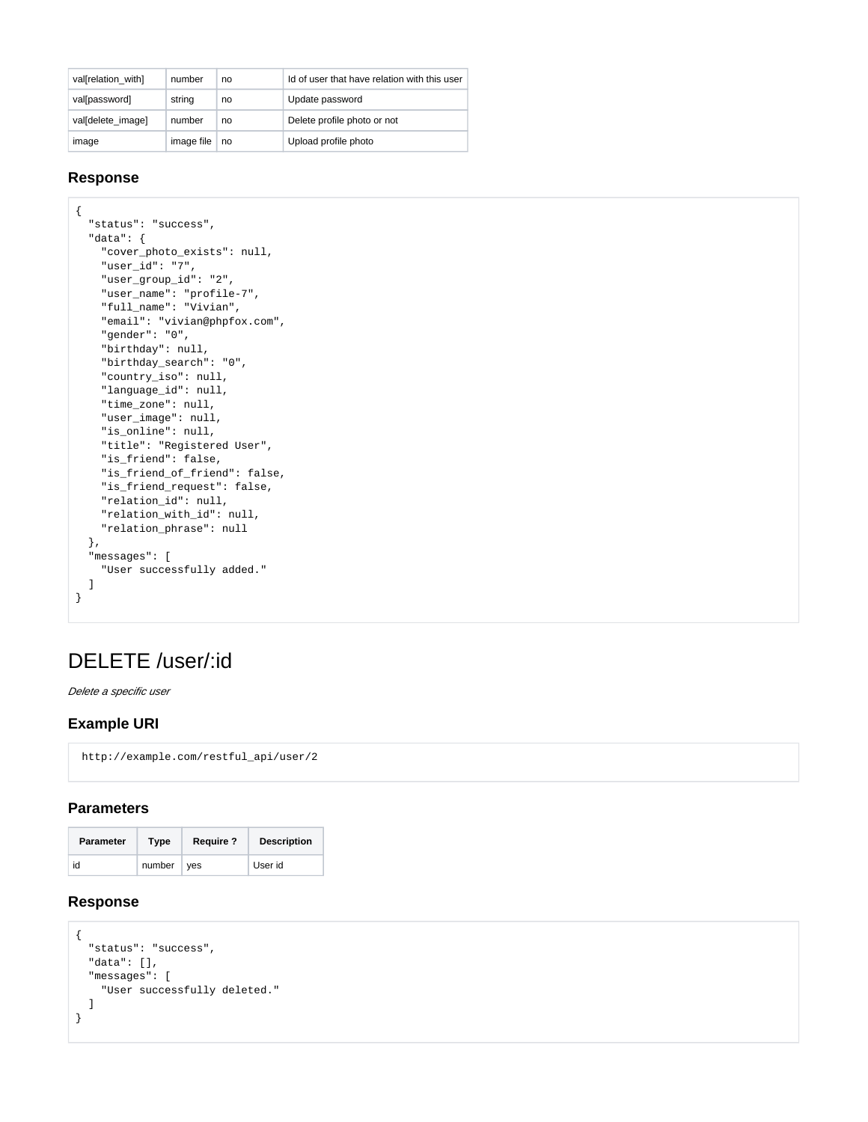| val[relation with] | number     | no | Id of user that have relation with this user |
|--------------------|------------|----|----------------------------------------------|
| val[password]      | string     | no | Update password                              |
| validelete image]  | number     | no | Delete profile photo or not                  |
| image              | image file | no | Upload profile photo                         |

#### **Response**

```
{
   "status": "success",
   "data": {
    "cover_photo_exists": null,
    "user_id": "7",
    "user_group_id": "2",
    "user_name": "profile-7",
     "full_name": "Vivian",
     "email": "vivian@phpfox.com",
     "gender": "0",
     "birthday": null,
    "birthday_search": "0",
    "country_iso": null,
    "language_id": null,
     "time_zone": null,
     "user_image": null,
     "is_online": null,
     "title": "Registered User",
     "is_friend": false,
     "is_friend_of_friend": false,
     "is_friend_request": false,
     "relation_id": null,
     "relation_with_id": null,
     "relation_phrase": null
  },
  "messages": [
    "User successfully added."
  ]
}
```
# DELETE /user/:id

Delete a specific user

### **Example URI**

http://example.com/restful\_api/user/2

#### **Parameters**

| <b>Parameter</b> | Type         | <b>Require?</b> | <b>Description</b> |
|------------------|--------------|-----------------|--------------------|
| id               | $number$ ves |                 | User id            |

#### **Response**

```
{
  "status": "success",
  "data": [],
  "messages": [
    "User successfully deleted."
  ]
}
```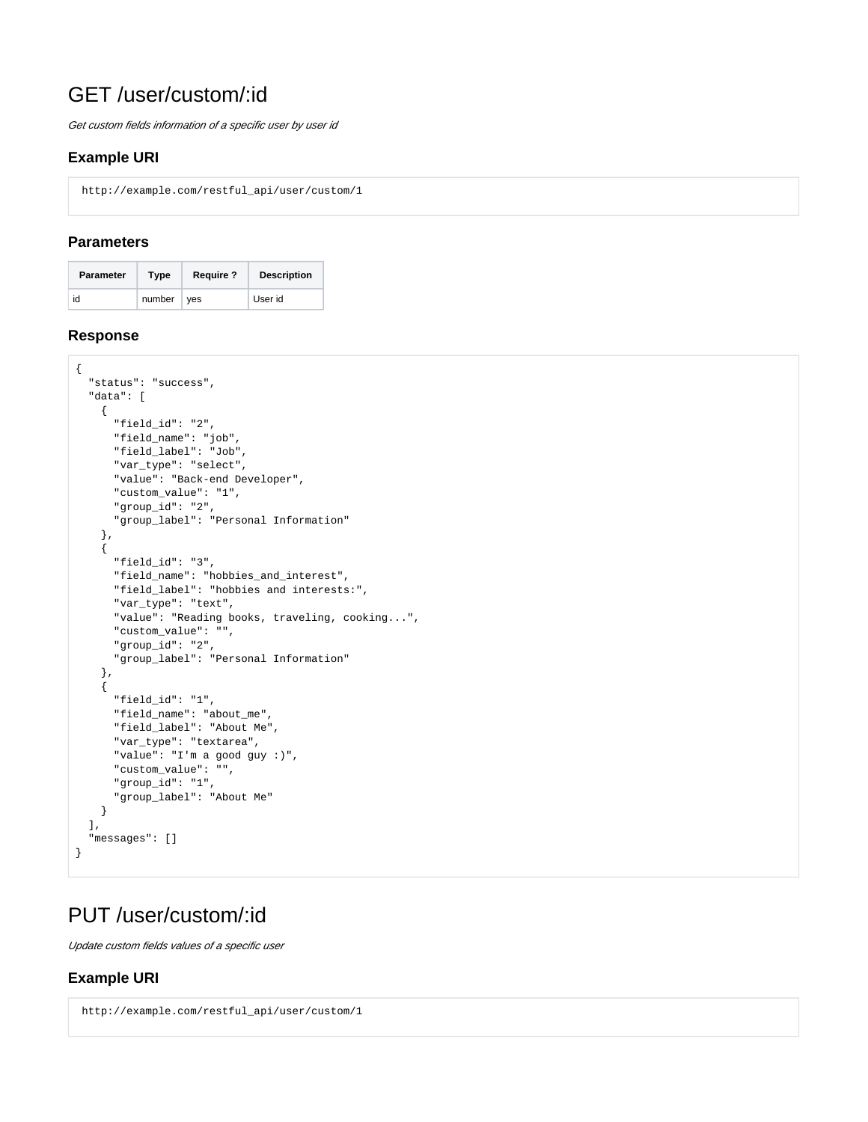# GET /user/custom/:id

Get custom fields information of a specific user by user id

### **Example URI**

http://example.com/restful\_api/user/custom/1

### **Parameters**

| <b>Parameter</b> | Type         | <b>Require?</b> | <b>Description</b> |
|------------------|--------------|-----------------|--------------------|
| id               | $number$ ves |                 | User id            |

#### **Response**

```
{
   "status": "success",
   "data": [
    {
       "field_id": "2",
       "field_name": "job",
       "field_label": "Job",
       "var_type": "select",
       "value": "Back-end Developer",
       "custom_value": "1",
       "group_id": "2",
       "group_label": "Personal Information"
     },
     {
       "field_id": "3",
       "field_name": "hobbies_and_interest",
       "field_label": "hobbies and interests:",
       "var_type": "text",
       "value": "Reading books, traveling, cooking...",
       "custom_value": "",
       "group_id": "2",
       "group_label": "Personal Information"
     },
     {
       "field_id": "1",
       "field_name": "about_me",
       "field_label": "About Me",
       "var_type": "textarea",
       "value": "I'm a good guy :)",
       "custom_value": "",
       "group_id": "1",
       "group_label": "About Me"
     }
  ],
   "messages": []
}
```
# PUT /user/custom/:id

Update custom fields values of a specific user

# **Example URI**

```
 http://example.com/restful_api/user/custom/1
```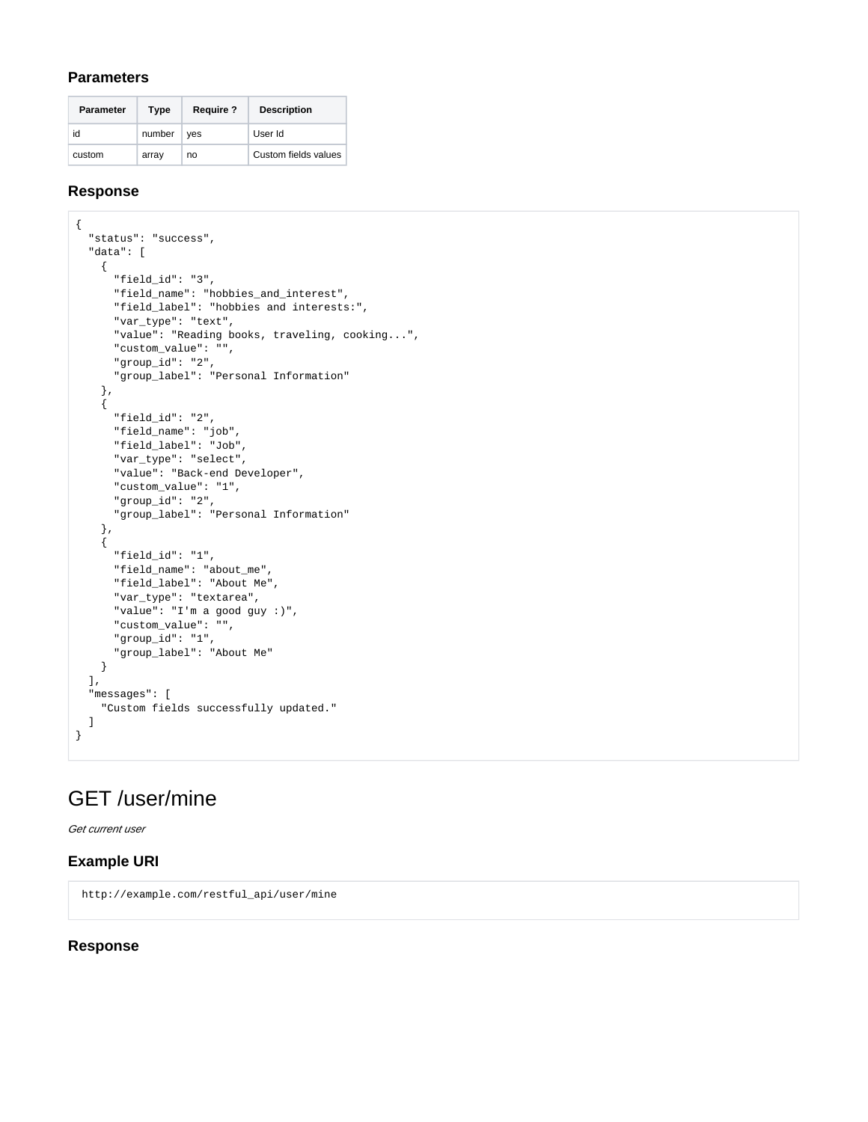#### **Parameters**

| <b>Parameter</b> | Type   | <b>Require ?</b> | <b>Description</b>   |
|------------------|--------|------------------|----------------------|
| id               | number | ves              | User Id              |
| custom           | array  | no               | Custom fields values |

#### **Response**

```
{
   "status": "success",
   "data": [
    {
       "field_id": "3",
      "field_name": "hobbies_and_interest",
       "field_label": "hobbies and interests:",
       "var_type": "text",
       "value": "Reading books, traveling, cooking...",
       "custom_value": "",
       "group_id": "2",
       "group_label": "Personal Information"
    },
     {
       "field_id": "2",
      "field_name": "job",
       "field_label": "Job",
       "var_type": "select",
       "value": "Back-end Developer",
       "custom_value": "1",
       "group_id": "2",
       "group_label": "Personal Information"
    },
     {
       "field_id": "1",
       "field_name": "about_me",
       "field_label": "About Me",
       "var_type": "textarea",
       "value": "I'm a good guy :)",
       "custom_value": "",
       "group_id": "1",
       "group_label": "About Me"
    }
  ],
   "messages": [
     "Custom fields successfully updated."
  ]
}
```
# GET /user/mine

Get current user

#### **Example URI**

http://example.com/restful\_api/user/mine

#### **Response**